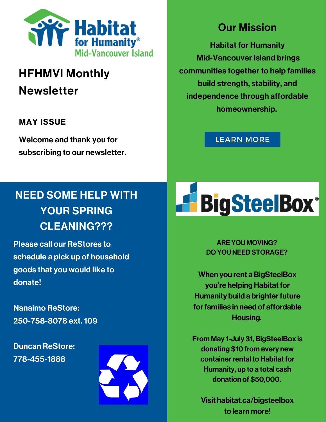

# HFHMVI Monthly **Newsletter**

### MAY ISSUE

Welcome and thank you for subscribing to our newsletter.

## NEED SOME HELP WITH YOUR SPRING CLEANING???

Please call our ReStores to schedule a pick up of household goods that you would like to donate!

Nanaimo ReStore: 250-758-8078 ext. 109

Duncan ReStore: 778-455-1888



## Our Mission

Habitat for Humanity Mid-Vancouver Island brings communities together to help families build strength, stability, and independence through affordable homeownership.

[LEARN](https://www.habitatmvi.org/donating-household-goods/) MORE

# **H**BigSteelBox®

ARE YOU MOVING? DO YOU NEED STORAGE?

When you rent a BigSteelBox you're helping Habitat for Humanity build a brighter future for families in need of affordable Housing.

From May 1-July 31, BigSteelBox is donating \$10 from every new container rental to Habitat for Humanity, up to a total cash donation of \$50,000.

Visit habitat.ca/bigsteelbox to learn more!